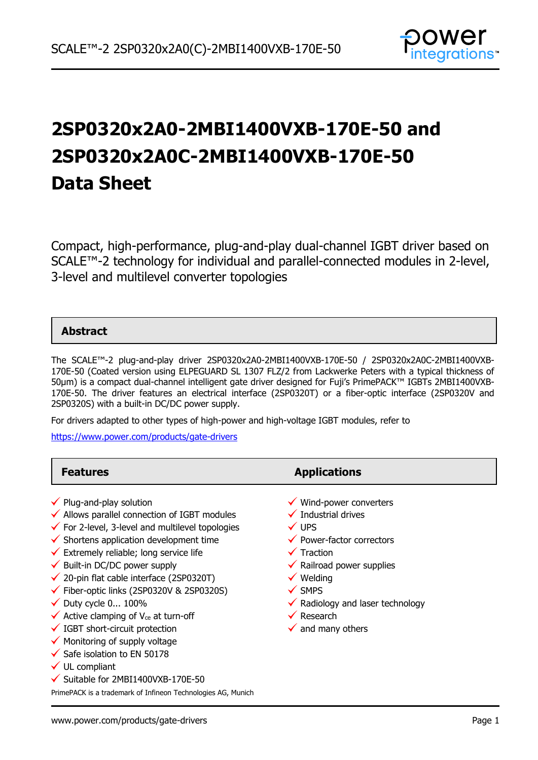

# **2SP0320x2A0-2MBI1400VXB-170E-50 and 2SP0320x2A0C-2MBI1400VXB-170E-50 Data Sheet**

Compact, high-performance, plug-and-play dual-channel IGBT driver based on SCALE™-2 technology for individual and parallel-connected modules in 2-level, 3-level and multilevel converter topologies

### **Abstract**

The SCALE™-2 plug-and-play driver 2SP0320x2A0-2MBI1400VXB-170E-50 / 2SP0320x2A0C-2MBI1400VXB-170E-50 (Coated version using ELPEGUARD SL 1307 FLZ/2 from Lackwerke Peters with a typical thickness of 50µm) is a compact dual-channel intelligent gate driver designed for Fuji's PrimePACK™ IGBTs 2MBI1400VXB-170E-50. The driver features an electrical interface (2SP0320T) or a fiber-optic interface (2SP0320V and 2SP0320S) with a built-in DC/DC power supply.

For drivers adapted to other types of high-power and high-voltage IGBT modules, refer to

<https://www.power.com/products/gate-drivers>

| <b>Features</b>                                                                                                                                                                                                                                                                                                                                                                                                                                                                                                                                                                                                                                                                                          | <b>Applications</b>                                                                                                                                                                                                                                                                                                                                    |
|----------------------------------------------------------------------------------------------------------------------------------------------------------------------------------------------------------------------------------------------------------------------------------------------------------------------------------------------------------------------------------------------------------------------------------------------------------------------------------------------------------------------------------------------------------------------------------------------------------------------------------------------------------------------------------------------------------|--------------------------------------------------------------------------------------------------------------------------------------------------------------------------------------------------------------------------------------------------------------------------------------------------------------------------------------------------------|
| $\checkmark$ Plug-and-play solution<br>$\checkmark$ Allows parallel connection of IGBT modules<br>$\checkmark$ For 2-level, 3-level and multilevel topologies<br>$\checkmark$ Shortens application development time<br>$\checkmark$ Extremely reliable; long service life<br>$\checkmark$ Built-in DC/DC power supply<br>$\checkmark$ 20-pin flat cable interface (2SP0320T)<br>$\checkmark$ Fiber-optic links (2SP0320V & 2SP0320S)<br>$\checkmark$ Duty cycle 0 100%<br>$\checkmark$ Active clamping of V <sub>ce</sub> at turn-off<br>$\checkmark$ IGBT short-circuit protection<br>$\checkmark$ Monitoring of supply voltage<br>$\checkmark$ Safe isolation to EN 50178<br>$\checkmark$ UL compliant | $\checkmark$ Wind-power converters<br>$\checkmark$ Industrial drives<br>$\checkmark$ UPS<br>$\checkmark$ Power-factor correctors<br>$\checkmark$ Traction<br>$\checkmark$ Railroad power supplies<br>$\checkmark$ Welding<br>$\checkmark$ SMPS<br>$\checkmark$ Radiology and laser technology<br>$\checkmark$ Research<br>$\checkmark$ and many others |
| $\checkmark$ Suitable for 2MBI1400VXB-170E-50                                                                                                                                                                                                                                                                                                                                                                                                                                                                                                                                                                                                                                                            |                                                                                                                                                                                                                                                                                                                                                        |

PrimePACK is a trademark of Infineon Technologies AG, Munich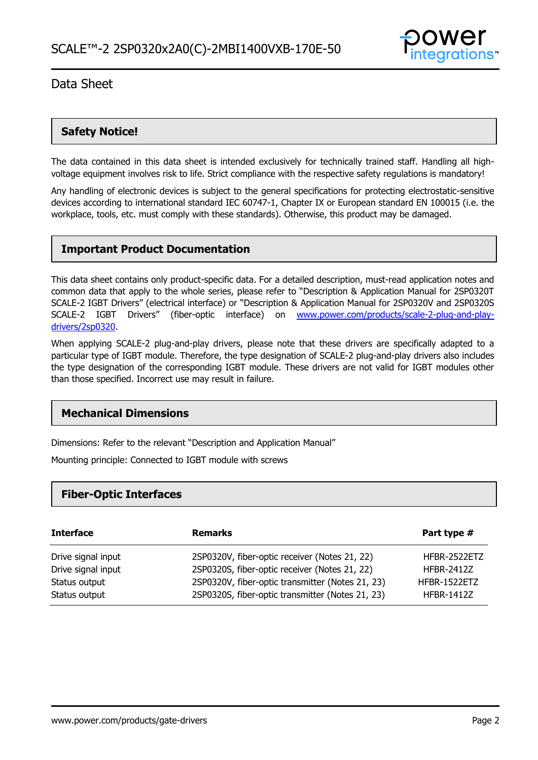

### **Safety Notice!**

The data contained in this data sheet is intended exclusively for technically trained staff. Handling all highvoltage equipment involves risk to life. Strict compliance with the respective safety regulations is mandatory!

Any handling of electronic devices is subject to the general specifications for protecting electrostatic-sensitive devices according to international standard IEC 60747-1, Chapter IX or European standard EN 100015 (i.e. the workplace, tools, etc. must comply with these standards). Otherwise, this product may be damaged.

### **Important Product Documentation**

This data sheet contains only product-specific data. For a detailed description, must-read application notes and common data that apply to the whole series, please refer to "Description & Application Manual for 2SP0320T SCALE-2 IGBT Drivers" (electrical interface) or "Description & Application Manual for 2SP0320V and 2SP0320S SCALE-2 IGBT Drivers" (fiber-optic interface) on www.power.com/products/scale-2-plug-and-playdrivers/2sp0320.

When applying SCALE-2 plug-and-play drivers, please note that these drivers are specifically adapted to a particular type of IGBT module. Therefore, the type designation of SCALE-2 plug-and-play drivers also includes the type designation of the corresponding IGBT module. These drivers are not valid for IGBT modules other than those specified. Incorrect use may result in failure.

### **Mechanical Dimensions**

Dimensions: Refer to the relevant "Description and Application Manual"

Mounting principle: Connected to IGBT module with screws

### **Fiber-Optic Interfaces**

| <b>Interface</b>   | <b>Remarks</b>                                   | Part type #         |
|--------------------|--------------------------------------------------|---------------------|
| Drive signal input | 2SP0320V, fiber-optic receiver (Notes 21, 22)    | HFBR-2522ETZ        |
| Drive signal input | 2SP0320S, fiber-optic receiver (Notes 21, 22)    | <b>HFBR-2412Z</b>   |
| Status output      | 2SP0320V, fiber-optic transmitter (Notes 21, 23) | <b>HFBR-1522ETZ</b> |
| Status output      | 2SP0320S, fiber-optic transmitter (Notes 21, 23) | <b>HFBR-1412Z</b>   |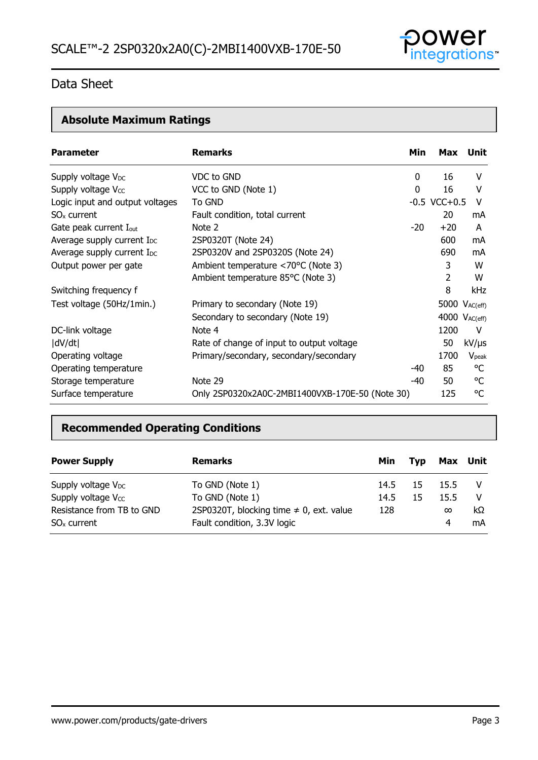

# **Absolute Maximum Ratings**

| <b>Parameter</b>                       | <b>Remarks</b>                                  | Min   |                   | Max Unit      |
|----------------------------------------|-------------------------------------------------|-------|-------------------|---------------|
| Supply voltage V <sub>DC</sub>         | VDC to GND                                      | 0     | 16                | v             |
| Supply voltage Vcc                     | VCC to GND (Note 1)                             | 0     | 16                | v             |
| Logic input and output voltages        | To GND                                          |       | $-0.5$ VCC $+0.5$ | V             |
| $SOx$ current                          | Fault condition, total current                  |       | 20                | mA            |
| Gate peak current I <sub>out</sub>     | Note 2                                          | $-20$ | $+20$             | A             |
| Average supply current I <sub>DC</sub> | 2SP0320T (Note 24)                              |       | 600               | mA            |
| Average supply current I <sub>DC</sub> | 2SP0320V and 2SP0320S (Note 24)                 |       | 690               | mA            |
| Output power per gate                  | Ambient temperature <70°C (Note 3)              |       | 3                 | W             |
|                                        | Ambient temperature 85°C (Note 3)               |       | 2                 | w             |
| Switching frequency f                  |                                                 |       | 8                 | kHz           |
| Test voltage (50Hz/1min.)              | Primary to secondary (Note 19)                  |       |                   | 5000 VAC(eff) |
|                                        | Secondary to secondary (Note 19)                |       |                   | 4000 VAC(eff) |
| DC-link voltage                        | Note 4                                          |       | 1200              | V             |
| dV/dt                                  | Rate of change of input to output voltage       |       | 50                | $kV/\mu s$    |
| Operating voltage                      | Primary/secondary, secondary/secondary          |       | 1700              | $V_{peak}$    |
| Operating temperature                  |                                                 | -40   | 85                | °C            |
| Storage temperature                    | Note 29                                         | -40   | 50                | °C            |
| Surface temperature                    | Only 2SP0320x2A0C-2MBI1400VXB-170E-50 (Note 30) |       | 125               | °C            |

### **Recommended Operating Conditions**

| <b>Power Supply</b>                        | <b>Remarks</b>                                                              | Min  | Tvp | Max Unit      |          |
|--------------------------------------------|-----------------------------------------------------------------------------|------|-----|---------------|----------|
| Supply voltage $V_{DC}$                    | To GND (Note 1)                                                             | 14.5 | -15 | 15.5          |          |
| Supply voltage $V_{CC}$                    | To GND (Note 1)                                                             | 14.5 | 15  | 15.5          |          |
| Resistance from TB to GND<br>$SOx$ current | 2SP0320T, blocking time $\neq$ 0, ext. value<br>Fault condition, 3.3V logic | 128  |     | $\infty$<br>4 | kΩ<br>mA |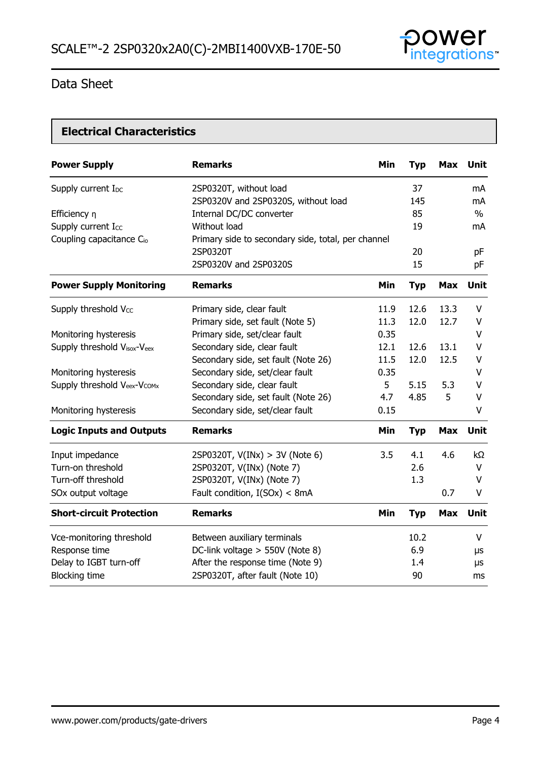

### **Electrical Characteristics**

| <b>Power Supply</b>                  | <b>Remarks</b>                                     | Min  | <b>Typ</b> | <b>Max</b> | <b>Unit</b> |
|--------------------------------------|----------------------------------------------------|------|------------|------------|-------------|
| Supply current I <sub>DC</sub>       | 2SP0320T, without load                             |      | 37         |            | mA          |
|                                      | 2SP0320V and 2SP0320S, without load                |      | 145        |            | mA          |
| Efficiency n                         | Internal DC/DC converter                           |      | 85         |            | $\%$        |
| Supply current Icc                   | Without load                                       |      | 19         |            | mA          |
| Coupling capacitance C <sub>io</sub> | Primary side to secondary side, total, per channel |      |            |            |             |
|                                      | 2SP0320T                                           |      | 20         |            | pF          |
|                                      | 2SP0320V and 2SP0320S                              |      | 15         |            | pF          |
| <b>Power Supply Monitoring</b>       | <b>Remarks</b>                                     | Min  | <b>Typ</b> | <b>Max</b> | <b>Unit</b> |
| Supply threshold Vcc                 | Primary side, clear fault                          | 11.9 | 12.6       | 13.3       | V           |
|                                      | Primary side, set fault (Note 5)                   | 11.3 | 12.0       | 12.7       | V           |
| Monitoring hysteresis                | Primary side, set/clear fault                      | 0.35 |            |            | V           |
| Supply threshold Visox-Veex          | Secondary side, clear fault                        | 12.1 | 12.6       | 13.1       | V           |
|                                      | Secondary side, set fault (Note 26)                | 11.5 | 12.0       | 12.5       | V           |
| Monitoring hysteresis                | Secondary side, set/clear fault                    | 0.35 |            |            | V           |
| Supply threshold Veex-Vcomx          | Secondary side, clear fault                        | 5    | 5.15       | 5.3        | V           |
|                                      | Secondary side, set fault (Note 26)                | 4.7  | 4.85       | 5          | V           |
| Monitoring hysteresis                | Secondary side, set/clear fault                    | 0.15 |            |            | V           |
| <b>Logic Inputs and Outputs</b>      | <b>Remarks</b>                                     | Min  | <b>Typ</b> | <b>Max</b> | <b>Unit</b> |
| Input impedance                      | 2SP0320T, $V(INx) > 3V$ (Note 6)                   | 3.5  | 4.1        | 4.6        | kΩ          |
| Turn-on threshold                    | 2SP0320T, V(INx) (Note 7)                          |      | 2.6        |            | V           |
| Turn-off threshold                   | 2SP0320T, V(INx) (Note 7)                          |      | 1.3        |            | V           |
| SOx output voltage                   | Fault condition, I(SOx) < 8mA                      |      |            | 0.7        | V           |
| <b>Short-circuit Protection</b>      | <b>Remarks</b>                                     | Min  | <b>Typ</b> | <b>Max</b> | <b>Unit</b> |
| Vce-monitoring threshold             | Between auxiliary terminals                        |      | 10.2       |            | V           |
| Response time                        | DC-link voltage > 550V (Note 8)                    |      | 6.9        |            | μs          |
| Delay to IGBT turn-off               | After the response time (Note 9)                   |      | 1.4        |            | μs          |
| <b>Blocking time</b>                 | 2SP0320T, after fault (Note 10)                    |      | 90         |            | ms          |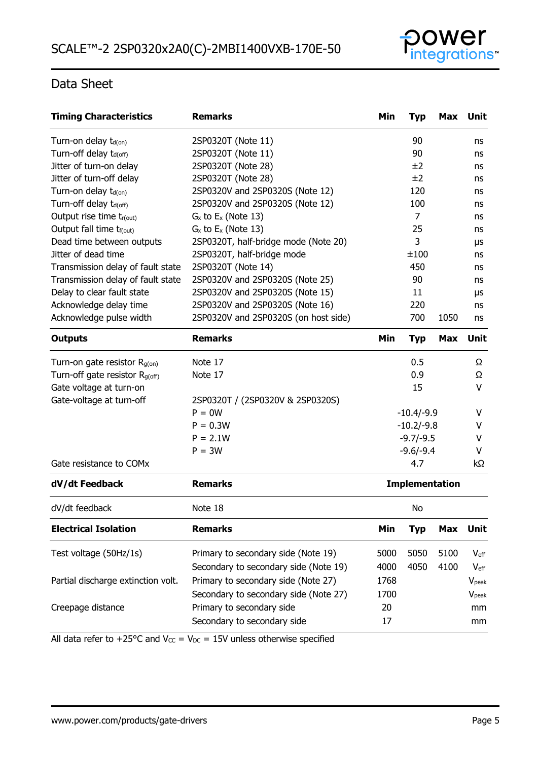

| <b>Timing Characteristics</b>              | <b>Remarks</b>                        | Min                   | <b>Typ</b>  | Max        | <b>Unit</b>       |
|--------------------------------------------|---------------------------------------|-----------------------|-------------|------------|-------------------|
| Turn-on delay $t_{d(0n)}$                  | 2SP0320T (Note 11)                    |                       | 90          |            | ns                |
| Turn-off delay t <sub>d(off)</sub>         | 2SP0320T (Note 11)                    |                       | 90          |            | ns                |
| Jitter of turn-on delay                    | 2SP0320T (Note 28)                    |                       | ±2          |            | ns                |
| Jitter of turn-off delay                   | 2SP0320T (Note 28)                    |                       | ±2          |            | ns                |
| Turn-on delay t <sub>d(on)</sub>           | 2SP0320V and 2SP0320S (Note 12)       |                       | 120         |            | ns                |
| Turn-off delay t <sub>d(off)</sub>         | 2SP0320V and 2SP0320S (Note 12)       |                       | 100         |            | ns                |
| Output rise time tr(out)                   | $G_x$ to $E_x$ (Note 13)              |                       | 7           |            | ns                |
| Output fall time t <sub>f(out)</sub>       | $G_x$ to $E_x$ (Note 13)              |                       | 25          |            | ns                |
| Dead time between outputs                  | 2SP0320T, half-bridge mode (Note 20)  |                       | 3           |            | μs                |
| Jitter of dead time                        | 2SP0320T, half-bridge mode            |                       | ±100        |            | ns                |
| Transmission delay of fault state          | 2SP0320T (Note 14)                    |                       | 450         |            | ns                |
| Transmission delay of fault state          | 2SP0320V and 2SP0320S (Note 25)       |                       | 90          |            | ns                |
| Delay to clear fault state                 | 2SP0320V and 2SP0320S (Note 15)       |                       | 11          |            | μs                |
| Acknowledge delay time                     | 2SP0320V and 2SP0320S (Note 16)       |                       | 220         |            | ns                |
| Acknowledge pulse width                    | 2SP0320V and 2SP0320S (on host side)  |                       | 700         | 1050       | ns                |
| <b>Outputs</b>                             | <b>Remarks</b>                        | Min                   | <b>Typ</b>  | <b>Max</b> | Unit              |
| Turn-on gate resistor $R_{g(0n)}$          | Note 17                               |                       | 0.5         |            | Ω                 |
| Turn-off gate resistor R <sub>g(off)</sub> | Note 17                               |                       | 0.9         |            | Ω                 |
| Gate voltage at turn-on                    |                                       |                       | 15          |            | V                 |
| Gate-voltage at turn-off                   | 2SP0320T / (2SP0320V & 2SP0320S)      |                       |             |            |                   |
|                                            | $P = 0W$                              | $-10.4/-9.9$          |             |            | V                 |
|                                            | $P = 0.3W$                            | $-10.2/-9.8$          |             |            | v                 |
|                                            | $P = 2.1W$                            | $-9.7/-9.5$           |             |            | V                 |
|                                            | $P = 3W$                              |                       | $-9.6/-9.4$ |            | V                 |
| Gate resistance to COMx                    |                                       |                       | 4.7         |            | kΩ                |
| dV/dt Feedback                             | <b>Remarks</b>                        | <b>Implementation</b> |             |            |                   |
| dV/dt feedback                             | Note 18                               | No                    |             |            |                   |
| <b>Electrical Isolation</b>                | <b>Remarks</b>                        | Min                   | <b>Typ</b>  | <b>Max</b> | Unit              |
| Test voltage (50Hz/1s)                     | Primary to secondary side (Note 19)   | 5000                  | 5050        | 5100       | $V_{\text{eff}}$  |
|                                            | Secondary to secondary side (Note 19) | 4000                  | 4050        | 4100       | $V_{\text{eff}}$  |
| Partial discharge extinction volt.         | Primary to secondary side (Note 27)   | 1768                  |             |            | V <sub>peak</sub> |
|                                            | Secondary to secondary side (Note 27) | 1700                  |             |            | $V_{\rm peak}$    |
| Creepage distance                          | Primary to secondary side             | 20                    |             |            | mm                |
|                                            | Secondary to secondary side           | 17                    |             |            |                   |
|                                            |                                       |                       |             |            | mm                |

All data refer to +25°C and  $V_{CC} = V_{DC} = 15V$  unless otherwise specified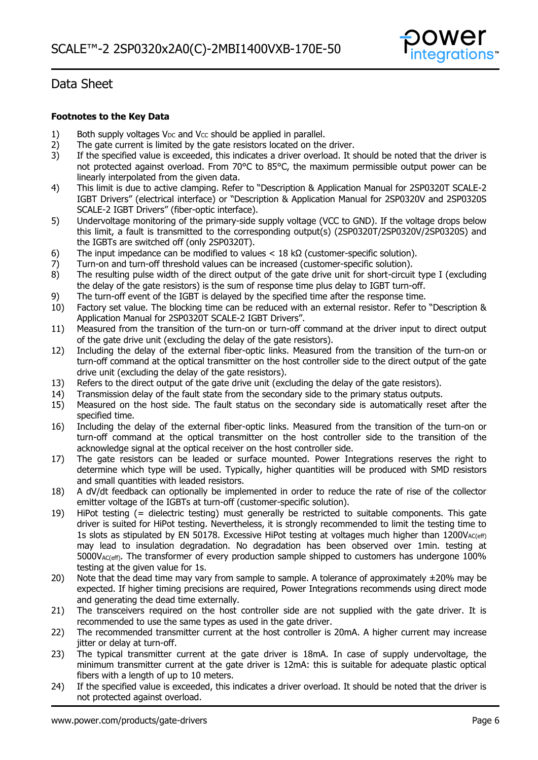

### **Footnotes to the Key Data**

- 1) Both supply voltages  $V_{DC}$  and  $V_{CC}$  should be applied in parallel.
- 2) The gate current is limited by the gate resistors located on the driver.
- 3) If the specified value is exceeded, this indicates a driver overload. It should be noted that the driver is not protected against overload. From 70°C to 85°C, the maximum permissible output power can be linearly interpolated from the given data.
- 4) This limit is due to active clamping. Refer to "Description & Application Manual for 2SP0320T SCALE-2 IGBT Drivers" (electrical interface) or "Description & Application Manual for 2SP0320V and 2SP0320S SCALE-2 IGBT Drivers" (fiber-optic interface).
- 5) Undervoltage monitoring of the primary-side supply voltage (VCC to GND). If the voltage drops below this limit, a fault is transmitted to the corresponding output(s) (2SP0320T/2SP0320V/2SP0320S) and the IGBTs are switched off (only 2SP0320T).
- 6) The input impedance can be modified to values  $< 18 \text{ k}\Omega$  (customer-specific solution).
- 7) Turn-on and turn-off threshold values can be increased (customer-specific solution).
- 8) The resulting pulse width of the direct output of the gate drive unit for short-circuit type I (excluding the delay of the gate resistors) is the sum of response time plus delay to IGBT turn-off.
- 9) The turn-off event of the IGBT is delayed by the specified time after the response time.
- 10) Factory set value. The blocking time can be reduced with an external resistor. Refer to "Description & Application Manual for 2SP0320T SCALE-2 IGBT Drivers".
- 11) Measured from the transition of the turn-on or turn-off command at the driver input to direct output of the gate drive unit (excluding the delay of the gate resistors).
- 12) Including the delay of the external fiber-optic links. Measured from the transition of the turn-on or turn-off command at the optical transmitter on the host controller side to the direct output of the gate drive unit (excluding the delay of the gate resistors).
- 13) Refers to the direct output of the gate drive unit (excluding the delay of the gate resistors).
- 14) Transmission delay of the fault state from the secondary side to the primary status outputs.
- 15) Measured on the host side. The fault status on the secondary side is automatically reset after the specified time.
- 16) Including the delay of the external fiber-optic links. Measured from the transition of the turn-on or turn-off command at the optical transmitter on the host controller side to the transition of the acknowledge signal at the optical receiver on the host controller side.
- 17) The gate resistors can be leaded or surface mounted. Power Integrations reserves the right to determine which type will be used. Typically, higher quantities will be produced with SMD resistors and small quantities with leaded resistors.
- 18) A dV/dt feedback can optionally be implemented in order to reduce the rate of rise of the collector emitter voltage of the IGBTs at turn-off (customer-specific solution).
- 19) HiPot testing (= dielectric testing) must generally be restricted to suitable components. This gate driver is suited for HiPot testing. Nevertheless, it is strongly recommended to limit the testing time to 1s slots as stipulated by EN 50178. Excessive HiPot testing at voltages much higher than  $1200V_{AC(eff)}$ may lead to insulation degradation. No degradation has been observed over 1min. testing at 5000VAC(eff). The transformer of every production sample shipped to customers has undergone 100% testing at the given value for 1s.
- 20) Note that the dead time may vary from sample to sample. A tolerance of approximately  $\pm$ 20% may be expected. If higher timing precisions are required, Power Integrations recommends using direct mode and generating the dead time externally.
- 21) The transceivers required on the host controller side are not supplied with the gate driver. It is recommended to use the same types as used in the gate driver.
- 22) The recommended transmitter current at the host controller is 20mA. A higher current may increase jitter or delay at turn-off.
- 23) The typical transmitter current at the gate driver is 18mA. In case of supply undervoltage, the minimum transmitter current at the gate driver is 12mA: this is suitable for adequate plastic optical fibers with a length of up to 10 meters.
- 24) If the specified value is exceeded, this indicates a driver overload. It should be noted that the driver is not protected against overload.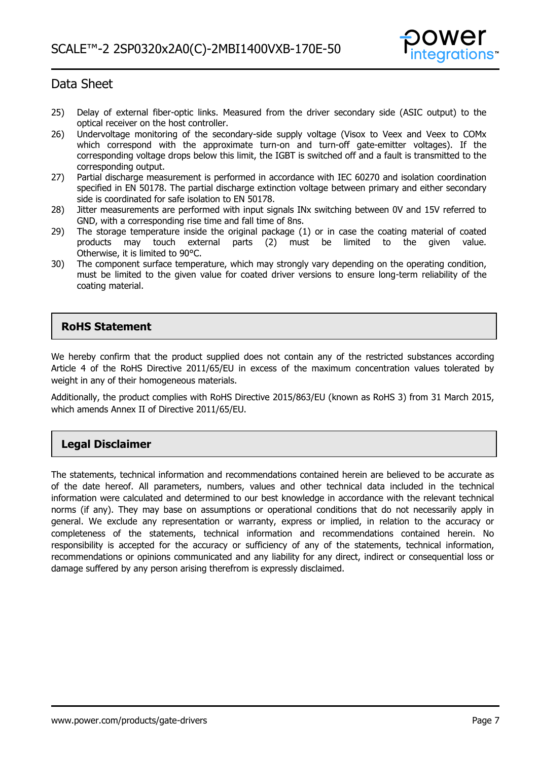

- 25) Delay of external fiber-optic links. Measured from the driver secondary side (ASIC output) to the optical receiver on the host controller.
- 26) Undervoltage monitoring of the secondary-side supply voltage (Visox to Veex and Veex to COMx which correspond with the approximate turn-on and turn-off gate-emitter voltages). If the corresponding voltage drops below this limit, the IGBT is switched off and a fault is transmitted to the corresponding output.
- 27) Partial discharge measurement is performed in accordance with IEC 60270 and isolation coordination specified in EN 50178. The partial discharge extinction voltage between primary and either secondary side is coordinated for safe isolation to EN 50178.
- 28) Jitter measurements are performed with input signals INx switching between 0V and 15V referred to GND, with a corresponding rise time and fall time of 8ns.
- 29) The storage temperature inside the original package (1) or in case the coating material of coated products may touch external parts (2) must be limited to the given value. Otherwise, it is limited to 90°C.
- 30) The component surface temperature, which may strongly vary depending on the operating condition, must be limited to the given value for coated driver versions to ensure long-term reliability of the coating material.

### **RoHS Statement**

We hereby confirm that the product supplied does not contain any of the restricted substances according Article 4 of the RoHS Directive 2011/65/EU in excess of the maximum concentration values tolerated by weight in any of their homogeneous materials.

Additionally, the product complies with RoHS Directive 2015/863/EU (known as RoHS 3) from 31 March 2015, which amends Annex II of Directive 2011/65/EU.

### **Legal Disclaimer**

The statements, technical information and recommendations contained herein are believed to be accurate as of the date hereof. All parameters, numbers, values and other technical data included in the technical information were calculated and determined to our best knowledge in accordance with the relevant technical norms (if any). They may base on assumptions or operational conditions that do not necessarily apply in general. We exclude any representation or warranty, express or implied, in relation to the accuracy or completeness of the statements, technical information and recommendations contained herein. No responsibility is accepted for the accuracy or sufficiency of any of the statements, technical information, recommendations or opinions communicated and any liability for any direct, indirect or consequential loss or damage suffered by any person arising therefrom is expressly disclaimed.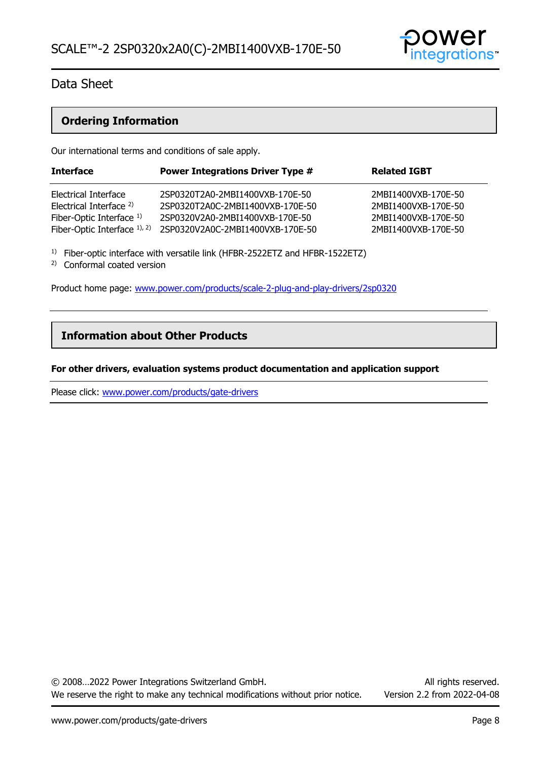

### **Ordering Information**

Our international terms and conditions of sale apply.

| <b>Interface</b>                   | <b>Power Integrations Driver Type #</b> | <b>Related IGBT</b> |
|------------------------------------|-----------------------------------------|---------------------|
| Electrical Interface               | 2SP0320T2A0-2MBI1400VXB-170E-50         | 2MBI1400VXB-170E-50 |
| Electrical Interface <sup>2)</sup> | 2SP0320T2A0C-2MBI1400VXB-170E-50        | 2MBI1400VXB-170E-50 |
| Fiber-Optic Interface $1$ )        | 2SP0320V2A0-2MBI1400VXB-170E-50         | 2MBI1400VXB-170E-50 |
| Fiber-Optic Interface $1$ , $2$ )  | 2SP0320V2A0C-2MBI1400VXB-170E-50        | 2MBI1400VXB-170E-50 |

<sup>1)</sup> Fiber-optic interface with versatile link (HFBR-2522ETZ and HFBR-1522ETZ)

2) Conformal coated version

Product home page: [www.power.com/products/scale-2-plug-and-play-drivers/2sp0320](http://www.power.com/products/scale-2-plug-and-play-drivers/2sp0320)

### **Information about Other Products**

#### **For other drivers, evaluation systems product documentation and application support**

Please click: [www.power.com/products/gate-drivers](http://www.power.com/products/gate-drivers)

© 2008…2022 Power Integrations Switzerland GmbH. All rights reserved. We reserve the right to make any technical modifications without prior notice. Version 2.2 from 2022-04-08